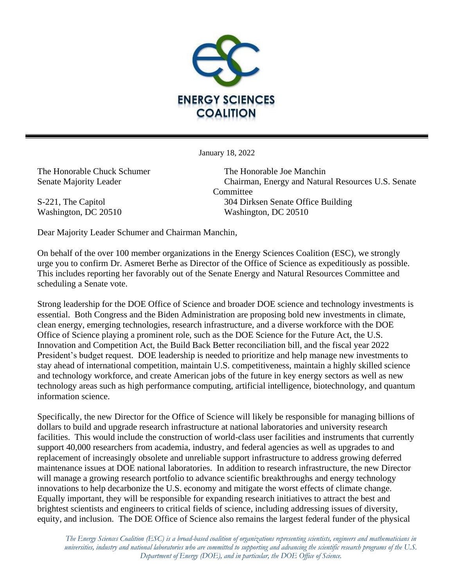

January 18, 2022

The Honorable Chuck Schumer The Honorable Joe Manchin

Senate Majority Leader Chairman, Energy and Natural Resources U.S. Senate Committee S-221, The Capitol 304 Dirksen Senate Office Building Washington, DC 20510 Washington, DC 20510

Dear Majority Leader Schumer and Chairman Manchin,

On behalf of the over 100 member organizations in the Energy Sciences Coalition (ESC), we strongly urge you to confirm Dr. Asmeret Berhe as Director of the Office of Science as expeditiously as possible. This includes reporting her favorably out of the Senate Energy and Natural Resources Committee and scheduling a Senate vote.

Strong leadership for the DOE Office of Science and broader DOE science and technology investments is essential. Both Congress and the Biden Administration are proposing bold new investments in climate, clean energy, emerging technologies, research infrastructure, and a diverse workforce with the DOE Office of Science playing a prominent role, such as the DOE Science for the Future Act, the U.S. Innovation and Competition Act, the Build Back Better reconciliation bill, and the fiscal year 2022 President's budget request. DOE leadership is needed to prioritize and help manage new investments to stay ahead of international competition, maintain U.S. competitiveness, maintain a highly skilled science and technology workforce, and create American jobs of the future in key energy sectors as well as new technology areas such as high performance computing, artificial intelligence, biotechnology, and quantum information science.

Specifically, the new Director for the Office of Science will likely be responsible for managing billions of dollars to build and upgrade research infrastructure at national laboratories and university research facilities. This would include the construction of world-class user facilities and instruments that currently support 40,000 researchers from academia, industry, and federal agencies as well as upgrades to and replacement of increasingly obsolete and unreliable support infrastructure to address growing deferred maintenance issues at DOE national laboratories. In addition to research infrastructure, the new Director will manage a growing research portfolio to advance scientific breakthroughs and energy technology innovations to help decarbonize the U.S. economy and mitigate the worst effects of climate change. Equally important, they will be responsible for expanding research initiatives to attract the best and brightest scientists and engineers to critical fields of science, including addressing issues of diversity, equity, and inclusion. The DOE Office of Science also remains the largest federal funder of the physical

*The Energy Sciences Coalition (ESC) is a broad-based coalition of organizations representing scientists, engineers and mathematicians in universities, industry and national laboratories who are committed to supporting and advancing the scientific research programs of the U.S. Department of Energy (DOE), and in particular, the DOE Office of Science.*